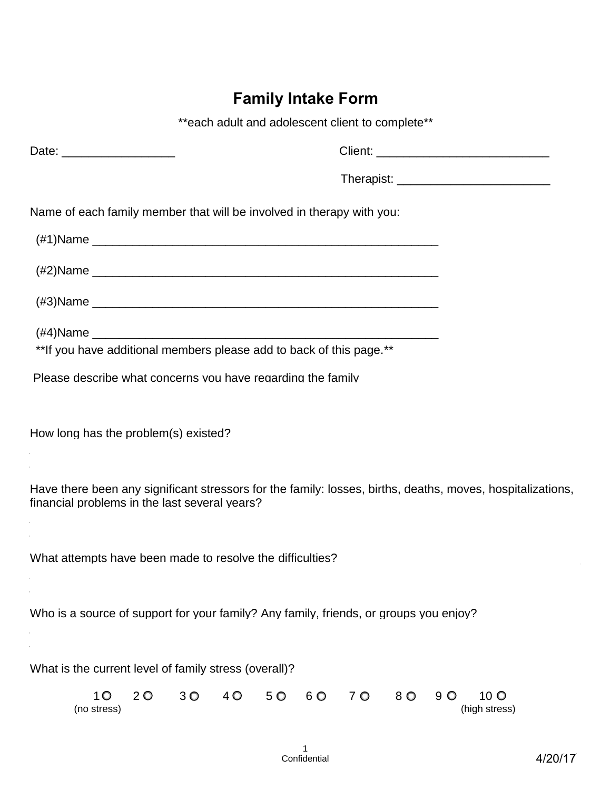## **Family Intake Form**

|                                               | **each adult and adolescent client to complete**                                                           |  |
|-----------------------------------------------|------------------------------------------------------------------------------------------------------------|--|
| Date: ______________________                  |                                                                                                            |  |
|                                               |                                                                                                            |  |
|                                               | Name of each family member that will be involved in therapy with you:                                      |  |
|                                               |                                                                                                            |  |
|                                               |                                                                                                            |  |
|                                               |                                                                                                            |  |
|                                               |                                                                                                            |  |
|                                               | ** If you have additional members please add to back of this page.**                                       |  |
|                                               | Please describe what concerns you have regarding the family                                                |  |
| How long has the problem(s) existed?          |                                                                                                            |  |
| financial problems in the last several years? | Have there been any significant stressors for the family: losses, births, deaths, moves, hospitalizations, |  |
|                                               | What attempts have been made to resolve the difficulties?                                                  |  |
|                                               | Who is a source of support for your family? Any family, friends, or groups you enjoy? _____________        |  |
|                                               |                                                                                                            |  |

What is the current level of family stress (overall)?

|             |  |  | 10 20 30 40 50 60 70 80 90 100 |  |               |
|-------------|--|--|--------------------------------|--|---------------|
| (no stress) |  |  |                                |  | (high stress) |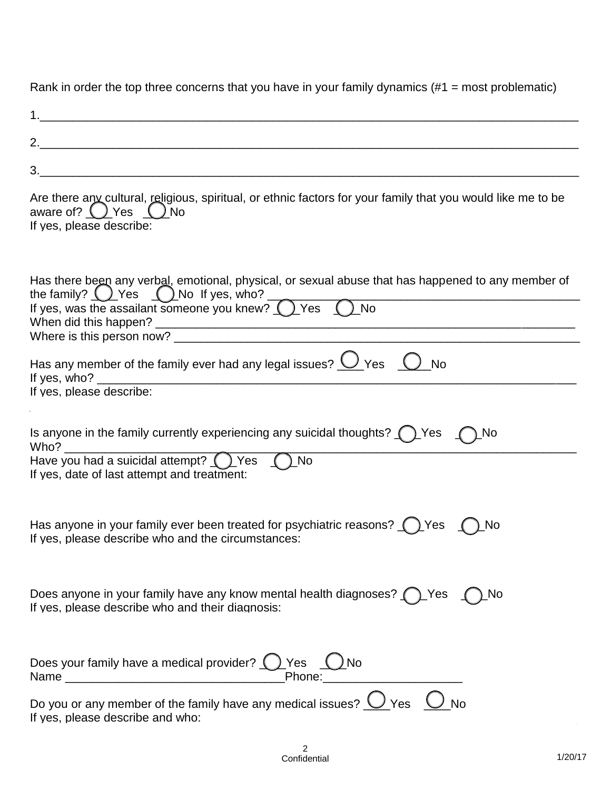Rank in order the top three concerns that you have in your family dynamics (#1 = most problematic)

| 2.                                                                                                                                                                                                  |
|-----------------------------------------------------------------------------------------------------------------------------------------------------------------------------------------------------|
| 3.<br><u> 1989 - Johann Stoff, amerikansk politiker (d. 1989)</u>                                                                                                                                   |
| Are there any cultural, religious, spiritual, or ethnic factors for your family that you would like me to be<br>aware of? $()$ Yes $()$ No                                                          |
| Has there been any verbal, emotional, physical, or sexual abuse that has happened to any member of<br>the family? O_Yes O_No If yes, who?<br>If yes, was the assailant someone you knew? O_Yes O_No |
|                                                                                                                                                                                                     |
| Has any member of the family ever had any legal issues? $\bigcirc$ Yes $\bigcirc$<br><b>No</b>                                                                                                      |
| If yes, please describe:                                                                                                                                                                            |
| Is anyone in the family currently experiencing any suicidal thoughts? $\bigcap$ Yes<br>)_No<br>Who?                                                                                                 |
| Have you had a suicidal attempt? O_Yes    O_No                                                                                                                                                      |
| Has anyone in your family ever been treated for psychiatric reasons? $\bigcap$ Yes<br>) No<br>If yes, please describe who and the circumstances:                                                    |
| Does anyone in your family have any know mental health diagnoses? $\bigcap$ Yes $\bigcap$<br>) No<br>If yes, please describe who and their diagnosis:                                               |
| Does your family have a medical provider? $\bigcup$ Yes $\bigcup$ No<br>_Phone:________________________                                                                                             |
| Do you or any member of the family have any medical issues? $\bigcirc$ Yes $\bigcirc$ No<br>If yes, please describe and who:                                                                        |